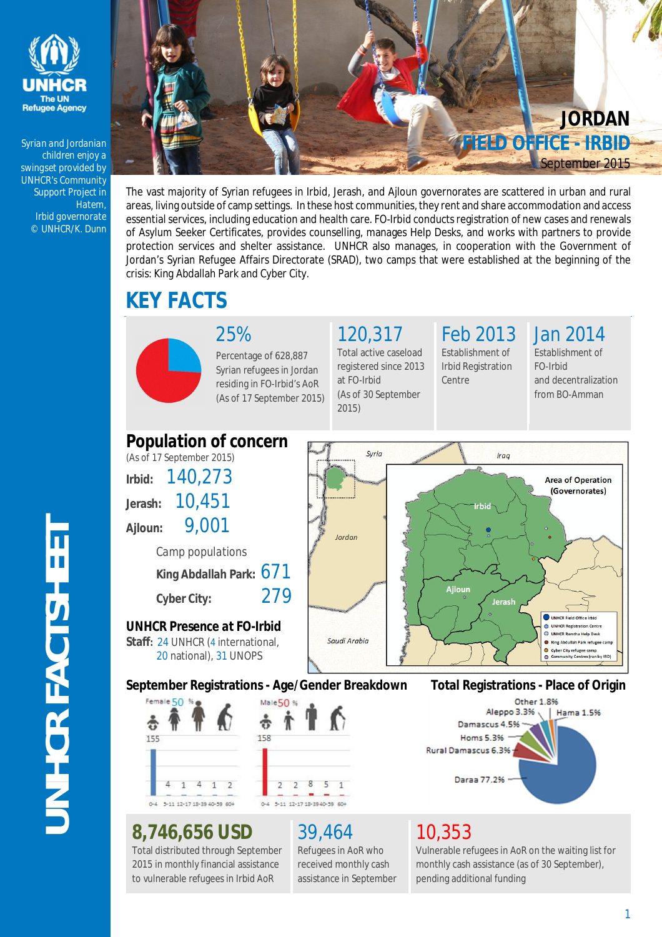

*Syrian and Jordanian children enjoy a swingset provided by UNHCR's Community Support Project in Hatem, Irbid governorate © UNHCR/K. Dunn*



The vast majority of Syrian refugees in Irbid, Jerash, and Ajloun governorates are scattered in urban and rural areas, living outside of camp settings. In these host communities, they rent and share accommodation and access essential services, including education and health care. FO-Irbid conducts registration of new cases and renewals of Asylum Seeker Certificates, provides counselling, manages Help Desks, and works with partners to provide protection services and shelter assistance. UNHCR also manages, in cooperation with the Government of Jordan's Syrian Refugee Affairs Directorate (SRAD), two camps that were established at the beginning of the crisis: King Abdallah Park and Cyber City.

# **KEY FACTS**



25% Percentage of 628,887 Syrian refugees in Jordan residing in FO-Irbid's AoR (As of 17 September 2015) 120,317

Total active caseload registered since 2013 at FO-Irbid (As of 30 September 2015)

## Feb 2013

Establishment of Irbid Registration Centre

Jan 2014

Establishment of FO-Irbid and decentralization from BO-Amman



### **8,746,656 USD**

Total distributed through September 2015 in monthly financial assistance to vulnerable refugees in Irbid AoR

# 39,464

Refugees in AoR who received monthly cash assistance in September

### 10,353

Vulnerable refugees in AoR on the waiting list for monthly cash assistance (as of 30 September), pending additional funding